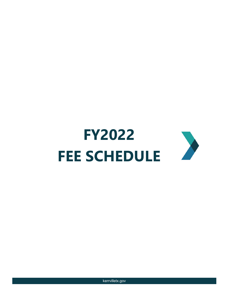

kerrvilletx.gov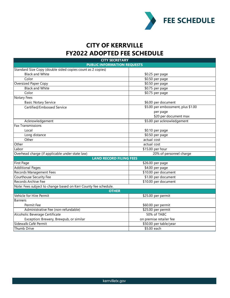

## **CITY OF KERRVILLE FY2022 ADOPTED FEE SCHEDULE**

| <b>CITY SECRETARY</b>                                           |                                    |  |
|-----------------------------------------------------------------|------------------------------------|--|
| <b>PUBLIC INFORMATION REQUESTS</b>                              |                                    |  |
| Standard Size Copy (double sided copies count as 2 copies)      |                                    |  |
| <b>Black and White</b>                                          | \$0.25 per page                    |  |
| Color                                                           | \$0.50 per page                    |  |
| <b>Oversized Paper Copy</b>                                     | \$0.50 per page                    |  |
| <b>Black and White</b>                                          | \$0.75 per page                    |  |
| Color                                                           | $$0.75$ per page                   |  |
| <b>Notary Fees</b>                                              |                                    |  |
| <b>Basic Notary Service</b>                                     | \$6.00 per document                |  |
| Certified/Embossed Service                                      | \$5.00 per embossment, plus \$1.00 |  |
|                                                                 | per page                           |  |
|                                                                 | \$20 per document max              |  |
| Acknowledgement                                                 | \$5.00 per acknowledgement         |  |
| <b>Fax Transmissions</b>                                        |                                    |  |
| Local                                                           | \$0.10 per page                    |  |
| Long distance                                                   | \$0.50 per page                    |  |
| Other                                                           | actual cost                        |  |
| Other                                                           | actual cost                        |  |
| Labor                                                           | \$15.00 per hour                   |  |
| Overhead charge (if applicable under state law)                 | 20% of personnel charge            |  |
| <b>LAND RECORD FILING FEES</b>                                  |                                    |  |
| <b>First Page</b>                                               | \$26.00 per page                   |  |
| <b>Additional Pages</b>                                         | \$4.00 per page                    |  |
| <b>Records Management Fees</b>                                  | \$10.00 per document               |  |
| Courthouse Security Fee                                         | \$1.00 per document                |  |
| Records Archive Fee                                             | \$10.00 per document               |  |
| Note: Fees subject to change based on Kerr County fee schedule. |                                    |  |
| <b>OTHER</b>                                                    |                                    |  |
| Vehicle for Hire Permit                                         | \$25.00 per permit                 |  |
| Banners                                                         |                                    |  |
| Permit Fee                                                      | \$60.00 per permit                 |  |
| Administrative Fee (non-refundable)                             | \$25.00 per permit                 |  |
| Alcoholic Beverage Certificate                                  | 50% of TABC                        |  |
| Exception: Brewery, Brewpub, or similar                         | on premise retailer fee            |  |
| Sidewalk Café Permit                                            | \$50.00 per table/year             |  |
| Thumb Drive                                                     | \$5.00 each                        |  |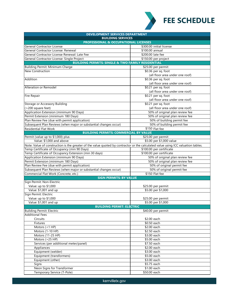

| <b>DEVELOPMENT SERVICES DEPARTMENT</b>                                                                                           |                                 |  |
|----------------------------------------------------------------------------------------------------------------------------------|---------------------------------|--|
| <b>BUILDING SERVICES</b>                                                                                                         |                                 |  |
| <b>PROFESSIONAL &amp; OCCUPATIONAL LICENSES</b>                                                                                  |                                 |  |
| <b>General Contractor License</b>                                                                                                | \$300.00 initial license        |  |
| General Contractor License: Renewal                                                                                              | \$100.00 annual                 |  |
| General Contractor License Renewal: Late Fee                                                                                     | \$200.00 late fee               |  |
| General Contractor License: Single Project                                                                                       | \$150.00 per project            |  |
| <b>BUILDING PERMITS: SINGLE &amp; TWO FAMILY RESIDENTIAL</b>                                                                     |                                 |  |
| Building Permit: Minimum Charge                                                                                                  | \$25.00 per permit              |  |
| <b>New Construction</b>                                                                                                          | \$0.36 per sq. foot             |  |
|                                                                                                                                  | (all floor area under one roof) |  |
| Addition                                                                                                                         | \$0.36 per sq. foot             |  |
|                                                                                                                                  | (all floor area under one roof) |  |
| Alteration or Remodel                                                                                                            | \$0.21 per sq. foot             |  |
|                                                                                                                                  | (all floor area under one roof) |  |
| Fire Repair                                                                                                                      | \$0.21 per sq. foot             |  |
|                                                                                                                                  | (all floor area under one roof) |  |
| Storage or Accessory Building                                                                                                    | \$0.21 per sq. foot             |  |
| (>200 square feet)                                                                                                               | (all floor area under one roof) |  |
| Application Extension (minimum 90 Days)                                                                                          | 50% of original plan review fee |  |
| Permit Extension (minimum 180 Days)                                                                                              | 50% of original plan review fee |  |
| Plan Review Fee (due with permit application)                                                                                    | 50% of building permit fee      |  |
| Subsequent Plan Reviews (when major or substantial changes occur)                                                                | 50% of building permit fee      |  |
| <b>Residential Flat Work</b>                                                                                                     | \$150 Flat fee                  |  |
| <b>BUILDING PERMITS: COMMERCIAL BY VALUE</b>                                                                                     |                                 |  |
| Permit (value up to \$1,000) plus                                                                                                | \$25.00 per permit              |  |
| Value: \$1,000 and above                                                                                                         | \$5.00 per \$1,000 value        |  |
| Note: Value of construction is the greater of the value quoted by contractor or the calculated value using ICC valuation tables. |                                 |  |
| Temp Certificate of Occupancy (min 90 Days)                                                                                      | \$100.00 per certificate        |  |
| Temp Certificate of Occupancy Extension (min 30 days)                                                                            | \$100.00 per certificate        |  |
| Application Extension (minimum 90 Days)                                                                                          | 50% of original plan review fee |  |
| Permit Extension (minimum 180 Days)                                                                                              | 50% of original plan review fee |  |
| Plan Review Fee (due with permit application)                                                                                    | 50% of original permit fee      |  |
| Subsequent Plan Reviews (when major or substantial changes occur)                                                                | 50% of original permit fee      |  |
| Commercial Flat Work (Concrete, etc.)                                                                                            | \$150 Flat fee                  |  |
| <b>SIGN PERMITS: BY VALUE</b>                                                                                                    |                                 |  |
| Sign Permit: Non-Electric                                                                                                        |                                 |  |
| Value: up to \$1,000                                                                                                             | \$25.00 per permit              |  |
| Value: \$1,001 and up                                                                                                            | \$5.00 per \$1,000              |  |
| Sign Permit: Electric                                                                                                            |                                 |  |
| Value: up to \$1,000                                                                                                             | \$25.00 per permit              |  |
| Value: \$1,001 and up                                                                                                            | \$5.00 per \$1,000              |  |
| <b>BUILDING PERMIT: ELECTRIC</b>                                                                                                 |                                 |  |
| <b>Building Permit: Electric</b>                                                                                                 | \$40.00 per permit              |  |
| <b>Additional Fees</b>                                                                                                           |                                 |  |
| Circuits                                                                                                                         | \$2.00 each                     |  |
| Fixtures                                                                                                                         | $$0.50$ each                    |  |
| Motors $(<1$ HP)                                                                                                                 | \$2.00 each                     |  |
| Motors (1-10 HP)                                                                                                                 | \$2.50 each                     |  |
| Motors (11-25 HP)                                                                                                                | \$3.00 each                     |  |
| Motors (>25 HP)                                                                                                                  | \$5.00 each                     |  |
| Services (per additional meter/panel)                                                                                            | \$7.50 each                     |  |
| Appliances                                                                                                                       | \$2.00 each                     |  |
| Equipment (welder)                                                                                                               | \$3.00 each                     |  |
| Equipment (transformers)                                                                                                         | \$5.00 each                     |  |
| Equipment (other)                                                                                                                | \$3.00 each                     |  |
| Signs                                                                                                                            | \$5.75 each                     |  |
| Neon Signs for Transformer                                                                                                       | \$1.00 each                     |  |
| Temporary Service (T-Pole)                                                                                                       | \$50.00 each                    |  |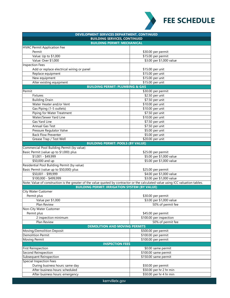

| DEVELOPMENT SERVICES DEPARTMENT, CONTINUED                                                                                       |                          |  |  |
|----------------------------------------------------------------------------------------------------------------------------------|--------------------------|--|--|
| <b>BUILDING SERVICES, CONTINUED</b>                                                                                              |                          |  |  |
| <b>BUILDING PERMIT: MECHANICAL</b>                                                                                               |                          |  |  |
| <b>HVAC Permit Application Fee</b>                                                                                               |                          |  |  |
| Permit                                                                                                                           | \$30.00 per permit       |  |  |
| Value: Up to \$1,000                                                                                                             | \$15.00 per permit       |  |  |
| Value: Over \$1,000                                                                                                              | \$3.00 per \$1,000 value |  |  |
| <b>Inspection Fees</b>                                                                                                           |                          |  |  |
| Add or replace electrical wiring or panel                                                                                        | \$15.00 per unit         |  |  |
| Replace equipment                                                                                                                | \$15.00 per unit         |  |  |
| New equipment                                                                                                                    | \$15.00 per unit         |  |  |
| Alter existing equipment                                                                                                         | \$15.00 per unit         |  |  |
| <b>BUILDING PERMIT: PLUMBING &amp; GAS</b>                                                                                       |                          |  |  |
| Permit                                                                                                                           | \$30.00 per permit       |  |  |
| Fixtures                                                                                                                         | \$2.50 per unit          |  |  |
| <b>Building Drain</b>                                                                                                            | \$7.50 per unit          |  |  |
| Water Heater and/or Vent                                                                                                         | \$10.00 per unit         |  |  |
| Gas Piping (1-5 outlets)                                                                                                         | \$10.00 per unit         |  |  |
| Piping for Water Treatment                                                                                                       | \$7.50 per unit          |  |  |
| Water/Sewer Yard Line                                                                                                            | \$10.00 per unit         |  |  |
| Gas Yard Line                                                                                                                    | \$7.50 per unit          |  |  |
| <b>Annual Gas Test</b>                                                                                                           | \$7.50 per unit          |  |  |
| Pressure Regulator Valve                                                                                                         | \$5.00 per unit          |  |  |
| <b>Back Flow Preventer</b>                                                                                                       | \$5.00 per unit          |  |  |
| Grease Trap / Test Well                                                                                                          | \$20.00 per unit         |  |  |
| <b>BUILDING PERMIT: POOLS (BY VALUE)</b>                                                                                         |                          |  |  |
| Commercial Pool Building Permit (by value)                                                                                       |                          |  |  |
| Basic Permit (value up to \$1,000) plus                                                                                          | \$25.00 per permit       |  |  |
| $$1,001 - $49,999$                                                                                                               | \$5.00 per \$1,000 value |  |  |
| \$50,000 and up                                                                                                                  | \$5.00 per \$1,000 value |  |  |
| Residential Pool Building Permit (by value)                                                                                      |                          |  |  |
| Basic Permit (value up to \$50,000) plus                                                                                         | \$25.00 per permit       |  |  |
| $$50,001 - $99,999$                                                                                                              | \$4.00 per \$1,000 value |  |  |
| \$100,000 - \$499,999                                                                                                            | \$3.00 per \$1,000 value |  |  |
| Note: Value of construction is the greater of the value quoted by contractor or the calculated value using ICC valuation tables. |                          |  |  |
| <b>BUILDING PERMIT: IRRIGATION SYSTEM (BY VALUE)</b>                                                                             |                          |  |  |
| <b>City Water Customer</b>                                                                                                       |                          |  |  |
| Permit plus                                                                                                                      | \$30.00 per permit       |  |  |
| Value per \$1,000                                                                                                                | \$3.00 per \$1,000 value |  |  |
| Plan Review                                                                                                                      | 50% of permit fee        |  |  |
| Non-City Water Customer                                                                                                          |                          |  |  |
| Permit plus                                                                                                                      | \$45.00 per permit       |  |  |
| 2 inspection minimum                                                                                                             | \$100.00 per inspection  |  |  |
| Plan Review                                                                                                                      | 50% of permit fee        |  |  |
| <b>DEMOLITION AND MOVING PERMITS</b>                                                                                             |                          |  |  |
| Moving/Demolition Deposit                                                                                                        | \$500.00 per permit      |  |  |
| <b>Demolition Permit</b>                                                                                                         | \$100.00 per permit      |  |  |
| <b>Moving Permit</b>                                                                                                             | \$100.00 per permit      |  |  |
| <b>INSPECTION FEES</b>                                                                                                           |                          |  |  |
| <b>First Reinspection</b>                                                                                                        | \$0.00 same permit       |  |  |
| Second Reinspection                                                                                                              | \$100.00 same permit     |  |  |
| Subsequent Reinspection                                                                                                          | \$150.00 same permit     |  |  |
| <b>Special Inspection Fees</b>                                                                                                   |                          |  |  |
| During business hours: same day                                                                                                  | \$50.00 per permit       |  |  |
| After business hours: scheduled                                                                                                  | \$50.00 per hr 2 hr min  |  |  |
| After business hours: emergency                                                                                                  | \$50.00 per hr 4 hr min  |  |  |
|                                                                                                                                  |                          |  |  |
| kerrvilletx.gov                                                                                                                  |                          |  |  |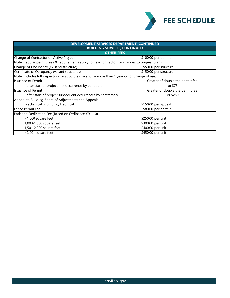

| DEVELOPMENT SERVICES DEPARTMENT, CONTINUED                                                      |                                  |  |  |
|-------------------------------------------------------------------------------------------------|----------------------------------|--|--|
| <b>BUILDING SERVICES, CONTINUED</b>                                                             |                                  |  |  |
| <b>OTHER FEES</b>                                                                               |                                  |  |  |
| Change of Contractor on Active Project<br>\$100.00 per permit                                   |                                  |  |  |
| Note: Regular permit fees & requirements apply to new contractor for changes to original plans. |                                  |  |  |
| Change of Occupancy (existing structure)<br>\$50.00 per structure                               |                                  |  |  |
| Certificate of Occupancy (vacant structures)                                                    | \$150.00 per structure           |  |  |
| Note: Includes full inspection for structures vacant for more than 1 year or for change of use. |                                  |  |  |
| <b>Issuance of Permit</b>                                                                       | Greater of double the permit fee |  |  |
| (after start of project first occurrence by contractor)                                         | or \$75                          |  |  |
| Issuance of Permit                                                                              | Greater of double the permit fee |  |  |
| (after start of project subsequent occurrences by contractor)                                   | or \$250                         |  |  |
| Appeal to Building Board of Adjustments and Appeals                                             |                                  |  |  |
| Mechanical, Plumbing, Electrical                                                                | \$150.00 per appeal              |  |  |
| lFence Permit Fee                                                                               | \$80.00 per permit               |  |  |
| Parkland Dedication Fee (Based on Ordinance #91-10)                                             |                                  |  |  |
| <1,000 square feet                                                                              | \$250.00 per unit                |  |  |
| 1,000-1,500 square feet                                                                         | \$300.00 per unit                |  |  |
| 1,501-2,000 square feet                                                                         | \$400.00 per unit                |  |  |
| >2,001 square feet                                                                              | \$450.00 per unit                |  |  |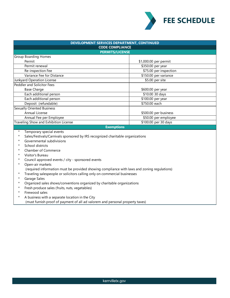

| DEVELOPMENT SERVICES DEPARTMENT, CONTINUED<br><b>CODE COMPLIANCE</b>                        |                        |  |  |
|---------------------------------------------------------------------------------------------|------------------------|--|--|
|                                                                                             |                        |  |  |
| <b>Group Boarding Homes</b>                                                                 |                        |  |  |
| Permit                                                                                      | \$1,000.00 per permit  |  |  |
| Permit renewal                                                                              | \$350.00 per year      |  |  |
| Re-inspection Fee                                                                           | \$75.00 per inspection |  |  |
| Variance Fee for Distance                                                                   | \$150.00 per variance  |  |  |
| Junkyard Operation License                                                                  | \$5.00 per site        |  |  |
| <b>Peddler and Solicitor Fees</b>                                                           |                        |  |  |
| <b>Base Charge</b>                                                                          | \$600.00 per year      |  |  |
| Each additional person                                                                      | \$10.00 30 days        |  |  |
| Each additional person                                                                      | \$100.00 per year      |  |  |
| Deposit (refundable)                                                                        | \$750.00 each          |  |  |
| <b>Sexually Oriented Business</b>                                                           |                        |  |  |
| Annual License                                                                              | \$500.00 per business  |  |  |
| Annual Fee per Employee                                                                     | \$50.00 per employee   |  |  |
| Traveling Show and Exhibition License                                                       | \$100.00 per 30 days   |  |  |
|                                                                                             | <b>Exemptions</b>      |  |  |
| Temporary special events<br>$^\star$                                                        |                        |  |  |
| Sales/Festivals/Carnivals sponsored by IRS recognized charitable organizations<br>*         |                        |  |  |
| Governmental subdivisions<br>*                                                              |                        |  |  |
| School districts<br>*                                                                       |                        |  |  |
| *<br>Chamber of Commerce                                                                    |                        |  |  |
| *<br>Visitor's Bureau                                                                       |                        |  |  |
| *<br>Council approved events / city - sponsored events                                      |                        |  |  |
| Open-air markets<br>*                                                                       |                        |  |  |
| (required information must be provided showing compliance with laws and zoning regulations) |                        |  |  |
| Traveling salespeople or solicitors calling only on commercial businesses<br>$^\star$       |                        |  |  |
| Garage Sales<br>*                                                                           |                        |  |  |
| Organized sales shows/conventions organized by charitable organizations<br>*                |                        |  |  |

- \* Fresh produce sales (fruits, nuts, vegetables)
- \* Firewood sales
- \* A business with a separate location in the City (must furnish proof of payment of all ad valorem and personal property taxes)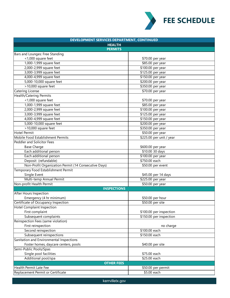

| DEVELOPMENT SERVICES DEPARTMENT, CONTINUED                                |                          |  |
|---------------------------------------------------------------------------|--------------------------|--|
| <b>HEALTH</b>                                                             |                          |  |
| <b>PERMITS</b>                                                            |                          |  |
| Bars and Lounges: Free Standing                                           |                          |  |
| <1,000 square feet                                                        | \$70.00 per year         |  |
| 1,000-1,999 square feet                                                   | \$85.00 per year         |  |
| 2,000-2,999 square feet                                                   | \$100.00 per year        |  |
| 3,000-3,999 square feet                                                   | \$125.00 per year        |  |
| 4,000-4,999 square feet                                                   | \$150.00 per year        |  |
| 5,000-10,000 square feet                                                  | \$200.00 per year        |  |
| >10,000 square feet                                                       | \$350.00 per year        |  |
| <b>Catering License</b>                                                   | \$70.00 per year         |  |
| <b>Health/Catering Permits</b>                                            |                          |  |
| <1,000 square feet                                                        | \$70.00 per year         |  |
| 1,000-1,999 square feet                                                   | \$85.00 per year         |  |
| 2,000-2,999 square feet                                                   | \$100.00 per year        |  |
| 3,000-3,999 square feet                                                   | \$125.00 per year        |  |
| 4,000-4,999 square feet                                                   | \$150.00 per year        |  |
| 5,000-10,000 square feet                                                  | \$200.00 per year        |  |
| >10,000 square feet                                                       | \$350.00 per year        |  |
| <b>Hotel Permit</b>                                                       | \$50.00 per year         |  |
| Mobile Food Establishment Permits                                         | \$225.00 per unit / year |  |
| <b>Peddler and Solicitor Fees</b>                                         |                          |  |
| <b>Base Charge</b>                                                        | \$600.00 per year        |  |
| Each additional person                                                    | \$10.00 30 days          |  |
| Each additional person                                                    | \$100.00 per year        |  |
| Deposit (refundable)                                                      | \$750.00 each            |  |
| Non-Profit Organization Permit (14 Consecutive Days)<br>\$50.00 per event |                          |  |
| Temporary Food Establishment Permit                                       |                          |  |
| Single Event                                                              | \$45.00 per 14 days      |  |
| Multi-temp Annual Permit                                                  | \$225.00 per year        |  |
| Non-profit Health Permit                                                  | \$50.00 per year         |  |
| <b>INSPECTIONS</b>                                                        |                          |  |
| <b>After Hours Inspection</b>                                             |                          |  |
| Emergency (4 hr minimum)                                                  | \$50.00 per hour         |  |
| Certificate of Occupancy Inspection                                       | \$50.00 per site         |  |
| <b>Hotel Complaint Inspection</b>                                         |                          |  |
| First complaint                                                           | \$100.00 per inspection  |  |
| Subsequent complaints                                                     | \$150.00 per inspection  |  |
| Reinspection Fees (same violation)                                        |                          |  |
| First reinspection                                                        | no charge                |  |
| Second reinspection                                                       | \$100.00 each            |  |
| Subsequent reinspections                                                  | \$150.00 each            |  |
| Sanitation and Environmental Inspections                                  |                          |  |
| Foster homes, daycare centers, pools                                      | \$40.00 per site         |  |
| Semi-Public Pools/Spas                                                    |                          |  |
| Single pool facilities                                                    | \$75.00 each             |  |
| Additional pool/spa                                                       | \$25.00 each             |  |
| <b>OTHER FEES</b>                                                         |                          |  |
| <b>Health Permit Late Fee</b>                                             | \$50.00 per permit       |  |
| Replacement Permit or Certificate                                         | \$5.00 each              |  |
|                                                                           |                          |  |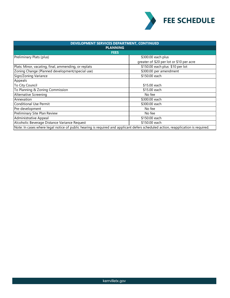

| DEVELOPMENT SERVICES DEPARTMENT, CONTINUED                                                                                        |                                          |  |
|-----------------------------------------------------------------------------------------------------------------------------------|------------------------------------------|--|
| <b>PLANNING</b>                                                                                                                   |                                          |  |
| <b>FEES</b>                                                                                                                       |                                          |  |
| Preliminary Plats (plus)                                                                                                          | \$300.00 each plus                       |  |
|                                                                                                                                   | greater of \$20 per lot or \$10 per acre |  |
| Plats: Minor, vacating, final, ammending, or replats                                                                              | \$150.00 each plus \$10 per lot          |  |
| Zoning Change (Planned development/special use)                                                                                   | \$300.00 per amendment                   |  |
| Sign/Zoning Variance                                                                                                              | \$150.00 each                            |  |
| Appeals                                                                                                                           |                                          |  |
| To City Council                                                                                                                   | \$15.00 each                             |  |
| To Planning & Zoning Commission                                                                                                   | \$15.00 each                             |  |
| <b>Alternative Screening</b>                                                                                                      | No fee                                   |  |
| Annexation                                                                                                                        | \$300.00 each                            |  |
| Conditional Use Permit                                                                                                            | \$300.00 each                            |  |
| Pre-development                                                                                                                   | No fee                                   |  |
| Preliminary Site Plan Review                                                                                                      | No fee                                   |  |
| Administrative Appeal                                                                                                             | \$150.00 each                            |  |
| Alcoholic Beverage Distance Variance Request                                                                                      | \$150.00 each                            |  |
| Note: In cases where legal notice of public hearing is required and applicant defers scheduled action, reapplication is required. |                                          |  |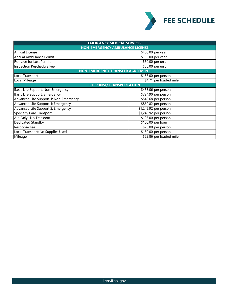

| <b>EMERGENCY MEDICAL SERVICES</b>       |                         |  |
|-----------------------------------------|-------------------------|--|
| <b>NON-EMERGENCY AMBULANCE LICENSE</b>  |                         |  |
| Annual License                          | \$400.00 per year       |  |
| Annual Ambulance Permit                 | \$150.00 per year       |  |
| Re-issue for Lost Permit                | \$50.00 per unit        |  |
| Inspection Reschedule Fee               | \$50.00 per unit        |  |
| <b>NON-EMERGENCY TRANSFER AGREEMENT</b> |                         |  |
| Local Transport                         | \$186.00 per person     |  |
| Local Mileage                           | \$4.71 per loaded mile  |  |
| <b>RESPONSE/TRANSPORTATION</b>          |                         |  |
| Basic Life Support: Non-Emergency       | \$453.06 per person     |  |
| Basic Life Support: Emergency           | \$724.90 per person     |  |
| Advanced Life Support 1: Non-Emergency  | \$543.68 per person     |  |
| Advanced Life Support 1: Emergency      | $$860.82$ per person    |  |
| Advanced Life Support 2: Emergency      | \$1,245.92 per person   |  |
| Specialty Care Transport                | \$1,245.92 per person   |  |
| Aid Only: No Transport                  | \$195.00 per person     |  |
| Dedicated Standby                       | \$100.00 per hour       |  |
| Response Fee                            | \$75.00 per person      |  |
| Local Transport: No Supplies Used       | \$150.00 per person     |  |
| Mileage                                 | \$22.86 per loaded mile |  |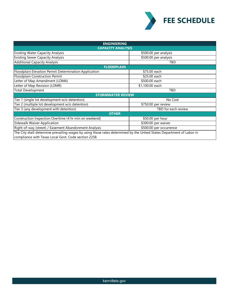

| <b>ENGINEERING</b>                                                                                                    |                         |  |  |
|-----------------------------------------------------------------------------------------------------------------------|-------------------------|--|--|
| <b>CAPACITY ANALYSIS</b>                                                                                              |                         |  |  |
| <b>Existing Water Capacity Analysis</b>                                                                               | \$500.00 per analysis   |  |  |
| <b>Existing Sewer Capacity Analysis</b>                                                                               | \$500.00 per analysis   |  |  |
| <b>Additional Capacity Analysis</b>                                                                                   | TBD                     |  |  |
| <b>FLOODPLAIN</b>                                                                                                     |                         |  |  |
| Floodplain Elevation Permit Determination Application                                                                 | \$75.00 each            |  |  |
| Floodplain Construction Permit                                                                                        | \$25.00 each            |  |  |
| Letter of Map Amendment (LOMA)                                                                                        | \$500.00 each           |  |  |
| Letter of Map Revision (LOMR)                                                                                         | \$1,100.00 each         |  |  |
| <b>Total Development</b>                                                                                              | TBD                     |  |  |
| <b>STORMWATER REVIEW</b>                                                                                              |                         |  |  |
| Tier 1 (single lot development w/o detention)                                                                         | No Cost                 |  |  |
| Tier 2 (multiple lot development w/o detention)                                                                       | \$750.00 per review     |  |  |
| Tier 3 (any development with detention)                                                                               | TBD for each review     |  |  |
| <b>OTHER</b>                                                                                                          |                         |  |  |
| Construction Inspection Overtime (4 hr min on weekend)                                                                | \$50.00 per hour        |  |  |
| Sidewalk Waiver Application                                                                                           | \$300.00 per waiver     |  |  |
| Right-of-way (street) / Easement Abandonment Analysis                                                                 | \$500.00 per occurrence |  |  |
| The City shall determine prevailing wages by using those rates determined by the United States Department of Labor in |                         |  |  |
| compliance with Texas Local Govt. Code section 2258.                                                                  |                         |  |  |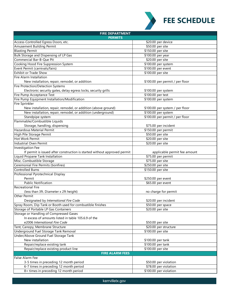

| <b>FIRE DEPARTMENT</b>                                                                                        |                                 |  |  |
|---------------------------------------------------------------------------------------------------------------|---------------------------------|--|--|
| <b>PERMITS</b>                                                                                                |                                 |  |  |
| Access-Controlled Egress Doors, etc.                                                                          | \$20.00 per device              |  |  |
| Amusement Building Permit                                                                                     | \$50.00 per site                |  |  |
| <b>Blasting Permit</b>                                                                                        | \$150.00 per site               |  |  |
| <b>Bulk Storage and Dispensing of LP Gas</b>                                                                  | \$100.00 per year               |  |  |
| Commercial Bar-B-Que Pit                                                                                      | \$20.00 per site                |  |  |
| Cooking Hood Fire Suppression System                                                                          | \$100.00 per system             |  |  |
| Event Permit (carnivals/fairs)                                                                                | \$100.00 per event              |  |  |
| <b>Exhibit or Trade Show</b>                                                                                  | \$100.00 per site               |  |  |
| Fire Alarm Installation                                                                                       |                                 |  |  |
| New installation, repair, remodel, or addition                                                                | \$100.00 per permit / per floor |  |  |
| Fire Protection/Detection Systems                                                                             |                                 |  |  |
| Electronic security gates, delay egress locks, security grills                                                | \$100.00 per system             |  |  |
| Fire Pump Acceptance Test                                                                                     | \$100.00 per test               |  |  |
| Fire Pump Equipment Installation/Modification                                                                 | \$100.00 per system             |  |  |
| <b>Fire Sprinkler</b>                                                                                         |                                 |  |  |
| New installation, repair, remodel, or addition (above ground)                                                 | \$100.00 per system / per floor |  |  |
| New installation, repair, remodel, or addition (underground)                                                  | \$100.00 per system             |  |  |
| Standpipe system                                                                                              | \$100.00 per permit / per floor |  |  |
| Flammable/Combustible Liquids                                                                                 |                                 |  |  |
| Storage, handling, dispensing                                                                                 | \$75.00 per incident            |  |  |
| <b>Hazardous Material Permit</b>                                                                              | \$150.00 per permit             |  |  |
| High Pile Storage Permit                                                                                      | \$50.00 per site                |  |  |
| Hot Work Permit                                                                                               | \$20.00 per site                |  |  |
| Industrial Oven Permit                                                                                        | \$20.00 per site                |  |  |
| Investigation Fee                                                                                             |                                 |  |  |
|                                                                                                               |                                 |  |  |
| If permit is issued after construction is started without approved permit<br>Liquid Propane Tank Installation | applicable permit fee amount    |  |  |
|                                                                                                               | \$75.00 per permit              |  |  |
| Misc. Combustible Storage                                                                                     | \$75.00 per site                |  |  |
| Ceremonial Fire Permits (bonfires)                                                                            | \$250.00 per site               |  |  |
| <b>Controlled Burns</b>                                                                                       | \$150.00 per site               |  |  |
| Professional Pyrotechnical Display                                                                            |                                 |  |  |
| Permit                                                                                                        | \$250.00 per event              |  |  |
| <b>Public Notification</b>                                                                                    | \$65.00 per event               |  |  |
| <b>Recreational Fire</b>                                                                                      |                                 |  |  |
| (less than 3ft. Diameter x 2ft height)                                                                        | no charge for permit            |  |  |
| Other Permit                                                                                                  |                                 |  |  |
| Designated by International Fire Code                                                                         | \$20.00 per incident            |  |  |
| Spray Room, Dip Tank or Booth used for combustible finishes                                                   | \$50.00 per space               |  |  |
| Storage of Portable LP Gas Containers                                                                         | \$20.00 per site                |  |  |
| Storage or Handling of Compressed Gases                                                                       |                                 |  |  |
| In excess of amounts listed in table 105.6.9 of the                                                           |                                 |  |  |
| e2006 International Fire Code                                                                                 | \$50.00 per site                |  |  |
| Tent, Canopy, Membrane Structure                                                                              | \$20.00 per structure           |  |  |
| Underground Fuel Storage Tank Removal                                                                         | \$100.00 per site               |  |  |
| Under/Above Ground Fuel Storage Tank                                                                          |                                 |  |  |
| New installation                                                                                              | \$100.00 per tank               |  |  |
| Repair/replace existing tank                                                                                  | \$100.00 per tank               |  |  |
| Repair/replace existing product line                                                                          | \$100.00 per site               |  |  |
| <b>FIRE ALARM FEES</b>                                                                                        |                                 |  |  |
| False Alarm Fee                                                                                               |                                 |  |  |
| 3-5 times in preceding 12 month period                                                                        | \$50.00 per violation           |  |  |
| 6-7 times in preceding 12 month period                                                                        | \$78.00 per violation           |  |  |
| 8+ times in preceding 12 month period                                                                         | \$100.00 per violation          |  |  |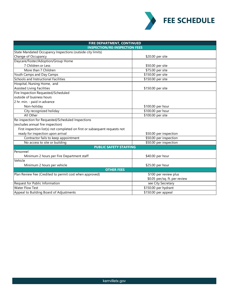

| FIRE DEPARTMENT, CONTINUED                                                 |                               |  |
|----------------------------------------------------------------------------|-------------------------------|--|
| <b>INSPECTION/RE-INSPECTION FEES</b>                                       |                               |  |
| State Mandated Occupancy Inspections (outside city limits)                 |                               |  |
| Change of Occupancy                                                        | \$20.00 per site              |  |
| Daycare/Foster/Adoption/Group Home                                         |                               |  |
| 7 Children or Less                                                         | \$50.00 per site              |  |
| More than 7 Children                                                       | \$75.00 per site              |  |
| Youth Camps and Day Camps                                                  | \$150.00 per site             |  |
| Schools and Instructional Facilities                                       | \$150.00 per site             |  |
| Hospital, Nursing Home, and                                                |                               |  |
| <b>Assisted Living Facilities</b>                                          | \$150.00 per site             |  |
| Fire Inspection Requested/Scheduled                                        |                               |  |
| loutside of business hours                                                 |                               |  |
| 2 hr. min. - paid in advance                                               |                               |  |
| Non-holiday                                                                | \$100.00 per hour             |  |
| City recognized holiday                                                    | \$100.00 per hour             |  |
| All Other                                                                  | \$100.00 per site             |  |
| Re-inspection for Requested/Scheduled Inspections                          |                               |  |
| (excludes annual fire inspection)                                          |                               |  |
| First inspection list(s) not completed on first or subsequent requests not |                               |  |
| ready for inspection upon arrival                                          | \$50.00 per inspection        |  |
| Contractor fails to keep appointment                                       | \$50.00 per inspection        |  |
| No access to site or building<br>\$50.00 per inspection                    |                               |  |
| <b>PUBLIC SAFETY STAFFING</b>                                              |                               |  |
| Personnel                                                                  |                               |  |
| Minimum 2 hours per Fire Department staff                                  | \$40.00 per hour              |  |
| Vehicle                                                                    |                               |  |
| Minimum 2 hours per vehicle                                                | \$25.00 per hour              |  |
| <b>OTHER FEES</b>                                                          |                               |  |
| Plan Review Fee (Credited to permit cost when approved)                    | \$100 per review plus         |  |
|                                                                            | \$0.05 per/sq. ft. per review |  |
| Request for Public Information                                             | see City Secretary            |  |
| <b>Water Flow Test</b>                                                     | \$150.00 per hydrant          |  |
| Appeal to Building Board of Adjustments                                    | \$150.00 per appeal           |  |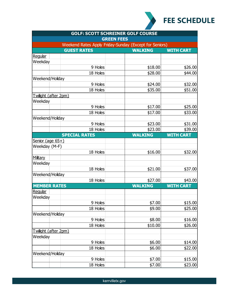

| <b>GOLF: SCOTT SCHREINER GOLF COURSE</b><br><b>GREEN FEES</b> |                      |                |                  |
|---------------------------------------------------------------|----------------------|----------------|------------------|
|                                                               |                      |                |                  |
|                                                               | <b>GUEST RATES</b>   | <b>WALKING</b> | <b>WITH CART</b> |
| Regular                                                       |                      |                |                  |
| Weekday                                                       |                      |                |                  |
|                                                               | 9 Holes              | \$18.00        | \$26.00          |
|                                                               | 18 Holes             | \$28.00        | \$44.00          |
| Weekend/Holiday                                               |                      |                |                  |
|                                                               | 9 Holes              | \$24.00        | \$32.00          |
|                                                               | 18 Holes             | \$35.00        | \$51.00          |
| Twilight (after 2pm)                                          |                      |                |                  |
| Weekday                                                       |                      |                |                  |
|                                                               | 9 Holes              | \$17.00        | \$25.00          |
|                                                               | 18 Holes             | \$17.00        | \$33.00          |
| Weekend/Holiday                                               |                      |                |                  |
|                                                               | 9 Holes              | \$23.00        | \$31.00          |
|                                                               | 18 Holes             | \$23.00        | \$39.00          |
|                                                               | <b>SPECIAL RATES</b> | <b>WALKING</b> | <b>WITH CART</b> |
| Senior (age 65+)                                              |                      |                |                  |
| Weekday (M-F)                                                 |                      |                |                  |
|                                                               | 18 Holes             | \$16.00        | \$32.00          |
| <u>Military</u>                                               |                      |                |                  |
| Weekday                                                       |                      |                |                  |
|                                                               | 18 Holes             | \$21.00        | \$37.00          |
| Weekend/Holiday                                               |                      |                |                  |
|                                                               | 18 Holes             | \$27.00        | \$43.00          |
| <b>MEMBER RATES</b>                                           |                      | <b>WALKING</b> | <b>WITH CART</b> |
| Regular                                                       |                      |                |                  |
| Weekday                                                       |                      |                |                  |
|                                                               | 9 Holes              | \$7.00         | \$15.00          |
|                                                               | 18 Holes             | \$9.00         | \$25.00          |
| Weekend/Holiday                                               |                      |                |                  |
|                                                               | 9 Holes              | \$8.00         | \$16.00          |
|                                                               | 18 Holes             | \$10.00        | \$26.00          |
| Twilight (after 2pm)                                          |                      |                |                  |
| Weekday                                                       |                      |                |                  |
|                                                               | 9 Holes              | \$6.00         | \$14.00          |
|                                                               | 18 Holes             | \$6.00         | \$22.00          |
| Weekend/Holiday                                               |                      |                |                  |
|                                                               | 9 Holes              | \$7.00         | \$15.00          |
|                                                               | 18 Holes             | \$7.00         | \$23.00          |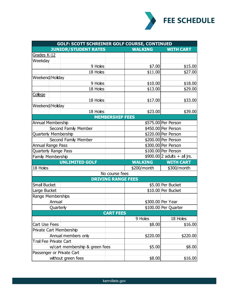

| GOLF: SCOTT SCHREINER GOLF COURSE, CONTINUED |           |                             |                           |                |                               |
|----------------------------------------------|-----------|-----------------------------|---------------------------|----------------|-------------------------------|
|                                              |           | <b>JUNIOR/STUDENT RATES</b> |                           | <b>WALKING</b> | <b>WITH CART</b>              |
| Grades K-12                                  |           |                             |                           |                |                               |
| Weekday                                      |           |                             |                           |                |                               |
|                                              |           | 9 Holes                     |                           | \$7.00         | \$15.00                       |
|                                              |           | 18 Holes                    |                           | \$11.00        | \$27.00                       |
| Weekend/Holiday                              |           |                             |                           |                |                               |
|                                              |           | 9 Holes                     |                           | \$10.00        | \$18.00                       |
|                                              |           | 18 Holes                    |                           | \$13.00        | \$29.00                       |
| College                                      |           |                             |                           |                |                               |
|                                              |           | 18 Holes                    |                           | \$17.00        | \$33.00                       |
| Weekend/Holiday                              |           |                             |                           |                |                               |
|                                              |           | 18 Holes                    |                           | \$23.00        | \$39.00                       |
|                                              |           |                             | <b>MEMBERSHIP FEES</b>    |                |                               |
| <b>Annual Membership</b>                     |           |                             |                           |                | \$575.00 Per Person           |
|                                              |           | Second Family Member        |                           |                | \$450.00 Per Person           |
| Quarterly Membership                         |           |                             |                           |                | \$220.00 Per Person           |
|                                              |           | Second Family Member        |                           |                | \$200.00 Per Person           |
| Annual Range Pass                            |           |                             |                           |                | \$300.00 Per Person           |
| Quarterly Range Pass                         |           |                             |                           |                | \$100.00 Per Person           |
| Family Membership                            |           |                             |                           |                | $$900.00 2$ adults + all jrs. |
|                                              |           | <b>UNLIMITED GOLF</b>       |                           | <b>WALKING</b> | <b>WITH CART</b>              |
| 18 Holes                                     |           |                             |                           | \$200/month    | \$300/month                   |
|                                              |           |                             | No course fees            |                |                               |
|                                              |           |                             | <b>DRIVING RANGE FEES</b> |                |                               |
| <b>Small Bucket</b>                          |           |                             |                           |                | \$5.00 Per Bucket             |
| Large Bucket                                 |           |                             |                           |                | \$10.00 Per Bucket            |
| Range Memberships                            |           |                             |                           |                |                               |
|                                              | Annual    |                             |                           |                | \$300.00 Per Year             |
|                                              | Quarterly |                             |                           |                | \$100.00 Per Quarter          |
| <b>CART FEES</b>                             |           |                             |                           |                |                               |
|                                              |           |                             |                           | 9 Holes        | 18 Holes                      |
| Cart Use Fees                                |           |                             |                           | \$8.00         | \$16.00                       |
| Private Cart Membership                      |           |                             |                           |                |                               |
| Annual members only                          |           |                             | \$220.00                  | \$220.00       |                               |
| Trail Fee Private Cart                       |           |                             |                           |                |                               |
| w/cart membership & green fees               |           | \$5.00                      | \$8.00                    |                |                               |
| Passenger or Private Cart                    |           |                             |                           |                |                               |
| without green fees                           |           | \$8.00                      | \$16.00                   |                |                               |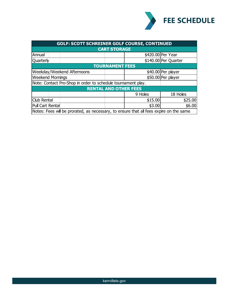

| <b>GOLF: SCOTT SCHREINER GOLF COURSE, CONTINUED</b>                                    |  |         |                      |
|----------------------------------------------------------------------------------------|--|---------|----------------------|
| <b>CART STORAGE</b>                                                                    |  |         |                      |
| Annual                                                                                 |  |         | \$420.00 Per Year    |
| Quarterly                                                                              |  |         | \$140.00 Per Quarter |
| <b>TOURNAMENT FEES</b>                                                                 |  |         |                      |
| Weekday/Weekend Afternoons                                                             |  |         | \$40.00 Per player   |
| <b>Weekend Mornings</b>                                                                |  |         | \$50.00 Per player   |
| Note: Contact Pro-Shop in order to schedule tournament play.                           |  |         |                      |
| <b>RENTAL AND OTHER FEES</b>                                                           |  |         |                      |
|                                                                                        |  | 9 Holes | 18 Holes             |
| Club Rental                                                                            |  | \$15.00 | \$25.00              |
| Pull Cart Rental                                                                       |  | \$3.00  | \$6.00               |
| Notes: Fees will be prorated, as necessary, to ensure that all fees expire on the same |  |         |                      |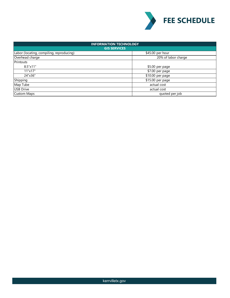

| <b>INFORMATION TECHNOLOGY</b>            |                     |  |
|------------------------------------------|---------------------|--|
| <b>GIS SERVICES</b>                      |                     |  |
| Labor (locating, compiling, reproducing) | \$45.00 per hour    |  |
| Overhead charge                          | 20% of labor charge |  |
| Printouts                                |                     |  |
| $8.5" \times 11"$                        | \$5.00 per page     |  |
| 11"x17"                                  | \$7.00 per page     |  |
| 24"x36"                                  | \$10.00 per page    |  |
| Shipping                                 | \$15.00 per page    |  |
| Map Tube                                 | actual cost         |  |
| <b>USB Drive</b>                         | actual cost         |  |
| <b>Custom Maps</b>                       | quoted per job      |  |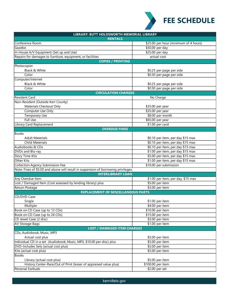

| LIBRARY: BUTT HOLDSWORTH MEMORIAL LIBRARY                                          |                                       |  |
|------------------------------------------------------------------------------------|---------------------------------------|--|
| <b>RENTALS</b>                                                                     |                                       |  |
| Conference Room                                                                    | \$25.00 per hour (minimum of 4 hours) |  |
| Gazebo                                                                             | \$50.00 per day                       |  |
| In-House A/V Equipment (Set up and Use)                                            | \$25.00 per day                       |  |
| Repairs for damages to furniture, equipment, or facilities                         | actual cost                           |  |
| <b>COPIES / PRINTING</b>                                                           |                                       |  |
| Photocopier                                                                        |                                       |  |
| Black & White                                                                      | \$0.25 per page per side              |  |
| Color                                                                              | \$0.50 per page per side              |  |
| Computer/Internet                                                                  |                                       |  |
| Black & White                                                                      | \$0.25 per page per side              |  |
| Color                                                                              | \$0.50 per page per side              |  |
| <b>CIRCULATION CHARGES</b>                                                         |                                       |  |
| <b>Resident Card</b>                                                               | No Charge                             |  |
| Non-Resident (Outside Kerr County)                                                 |                                       |  |
| Materials Checkout Only                                                            | \$35.00 per year                      |  |
| Computer Use Only                                                                  | \$35.00 per year                      |  |
| <b>Temporary Use</b>                                                               | \$8.00 per month                      |  |
| <b>Full Use</b>                                                                    | \$65.00 per year                      |  |
| Library Card Replacement                                                           | \$1.00 per card                       |  |
| <b>OVERDUE FINES</b>                                                               |                                       |  |
| <b>Books</b>                                                                       |                                       |  |
| <b>Adult Materials</b>                                                             | \$0.10 per item, per day \$15 max     |  |
| <b>Child Materials</b>                                                             | \$0.10 per item, per day \$15 max     |  |
| Audiobooks & CDs                                                                   | \$0.10 per item, per day \$15 max     |  |
| DVDs and Blu-ray                                                                   | \$1.00 per item, per day \$15 max     |  |
| <b>Story Time Kits</b>                                                             | \$5.00 per item, per day \$15 max     |  |
| Other Kits                                                                         | \$1.00 per item, per day \$15 max     |  |
| <b>Collection Agency Submission Fee</b>                                            | \$10.00 per submission                |  |
| Note: Fines of \$5.00 and above will result in suspension of borrowing privileges. |                                       |  |
| <b>INTERLIBRARY LOAN</b>                                                           |                                       |  |
| Any Overdue Item                                                                   | \$1.00 per item, per day, \$15 max    |  |
| Lost / Damaged Item (Cost assessed by lending library) plus                        | \$5.00 per item                       |  |
| Return Postage                                                                     | \$3.00 per item                       |  |
| <b>REPLACEMENT OF MISCELLANEOUS PARTS</b>                                          |                                       |  |
| CD/DVD Case                                                                        |                                       |  |
| Single                                                                             | \$1.00 per item                       |  |
| Multiple                                                                           | $\sqrt{4.00}$ per item                |  |
| Book on CD Case (up to 12 CDs)                                                     | $$10.00$ per item                     |  |
| Book on CD Case (up to 24 CDs)                                                     | $$15.00$ per item                     |  |
| CD Jewel Case (2 disc)                                                             | \$3.00 per item                       |  |
| AV Storage Bags                                                                    | \$1.00 per item                       |  |
| <b>LOST / DAMAGED ITEM CHARGES</b>                                                 |                                       |  |
| CDs, Audiobook, Music, MP3                                                         |                                       |  |
| Actual cost plus                                                                   | \$5.00 per item                       |  |
| Individual CD in a set (Audiobook, Music, MP3, \$10.00 per disc) plus              | \$5.00 per item                       |  |
| DVD-Includes Sets (actual cost plus)                                               | \$5.00 per item                       |  |
| Kits (actual cost plus)                                                            | \$5.00 per item                       |  |
| <b>Books</b>                                                                       |                                       |  |
| Library (actual cost plus)                                                         | \$5.00 per item                       |  |
| History Center-Rare/Out of Print (lesser of appraised value plus)                  | \$100.00 per item                     |  |
| Personal Earbuds                                                                   | \$2.00 per set                        |  |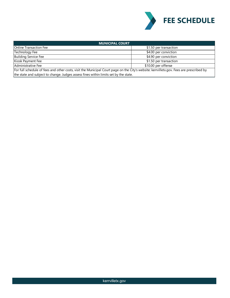

| <b>MUNICIPAL COURT</b>                                                                                                                   |                        |  |
|------------------------------------------------------------------------------------------------------------------------------------------|------------------------|--|
| Online Transaction Fee                                                                                                                   | \$1.50 per transaction |  |
| Technology Fee                                                                                                                           | \$4.00 per conviction  |  |
| <b>Building Service Fee</b>                                                                                                              | \$4.90 per conviction  |  |
| Kiosk Payment Fee                                                                                                                        | \$1.50 per transaction |  |
| Administrative Fee                                                                                                                       | \$10.00 per offense    |  |
| For full schedule of fees and other costs, visit the Municipal Court page on the City's website: kerrvilletx.gov. Fees are prescribed by |                        |  |
| the state and subject to change. Judges assess fines within limits set by the state.                                                     |                        |  |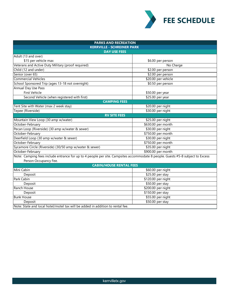

| <b>PARKS AND RECREATION</b><br><b>KERRVILLE - SCHREINER PARK</b>                                                               |                     |  |
|--------------------------------------------------------------------------------------------------------------------------------|---------------------|--|
|                                                                                                                                |                     |  |
| Adult (13 and over)                                                                                                            |                     |  |
| \$15 per vehicle max                                                                                                           | \$6.00 per person   |  |
| Veterans and Active Duty Military (proof required)                                                                             | No Charge           |  |
| Child (12 and under)                                                                                                           | \$2.00 per person   |  |
| Senior (over 65)                                                                                                               | \$2.00 per person   |  |
| <b>Commercial Vehicles</b>                                                                                                     | \$20.00 per vehicle |  |
| School Sponsored Trip (ages 13-18 not overnight)                                                                               | \$0.50 per person   |  |
| Annual Day Use Pass                                                                                                            |                     |  |
| <b>First Vehicle</b>                                                                                                           | \$50.00 per year    |  |
| Second Vehicle (when registered with first)                                                                                    | \$25.00 per year    |  |
| <b>CAMPING FEES</b>                                                                                                            |                     |  |
| Tent Site with Water (max 2 week stay)                                                                                         | \$20.00 per night   |  |
| Tepee (Riverside)                                                                                                              | \$30.00 per night   |  |
| <b>RV SITE FEES</b>                                                                                                            |                     |  |
| Mountain View Loop (30 amp w/water)                                                                                            | \$25.00 per night   |  |
| October-February                                                                                                               | \$630.00 per month  |  |
| Pecan Loop (Riverside) (30 amp w/water & sewer)                                                                                | \$30.00 per night   |  |
| October-February                                                                                                               | \$750.00 per month  |  |
| Deerfield Loop (30 amp w/water & sewer)                                                                                        | \$30.00 per night   |  |
| October-February                                                                                                               | \$750.00 per month  |  |
| Sycamore Circle (Riverside) (30/50 amp w/water & sewer)                                                                        | \$35.00 per night   |  |
| October-February                                                                                                               | \$900.00 per month  |  |
| Note: Camping fees include entrance for up to 4 people per site. Campsites accommodate 8 people. Guests #5-8 subject to Excess |                     |  |
| Person Occupancy Fee.                                                                                                          |                     |  |
| <b>CABIN/HOUSE RENTAL FEES</b>                                                                                                 |                     |  |
| Mini Cabin                                                                                                                     | \$60.00 per night   |  |
| Deposit                                                                                                                        | \$25.00 per stay    |  |
| Park Cabin                                                                                                                     | \$120.00 per night  |  |
| Deposit                                                                                                                        | \$50.00 per stay    |  |
| Ranch House                                                                                                                    | \$200.00 per night  |  |
| Deposit                                                                                                                        | \$150.00 per stay   |  |
| <b>Bunk House</b>                                                                                                              | \$55.00 per night   |  |
| Deposit                                                                                                                        | \$50.00 per stay    |  |
| Note: State and local hotel/motel tax will be added in addition to rental fee.                                                 |                     |  |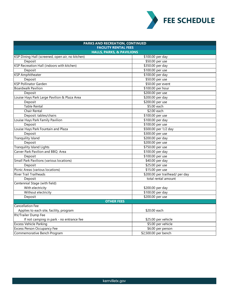

| PARKS AND RECREATION, CONTINUED                  |                                 |  |  |
|--------------------------------------------------|---------------------------------|--|--|
| <b>FACILITY RENTAL FEES</b>                      |                                 |  |  |
| <b>HALLS, PARKS, &amp; PAVILIONS</b>             |                                 |  |  |
| KSP Dining Hall (screened, open air, no kitchen) | \$100.00 per day                |  |  |
| Deposit                                          | \$50.00 per use                 |  |  |
| KSP Recreation Hall (indoors with kitchen)       | \$350.00 per day                |  |  |
| Deposit                                          | \$100.00 per use                |  |  |
| <b>KSP Amphitheater</b>                          | \$100.00 per day                |  |  |
| Deposit                                          | \$50.00 per use                 |  |  |
| <b>KSP Pollinator Garden</b>                     | \$50.00 per event               |  |  |
| <b>Boardwalk Pavilion</b>                        | \$100.00 per hour               |  |  |
| Deposit                                          | \$200.00 per use                |  |  |
| Louise Hays Park Large Pavilion & Plaza Area     | \$200.00 per day                |  |  |
| Deposit                                          | \$200.00 per use                |  |  |
| <b>Table Rental</b>                              | \$5.00 each                     |  |  |
| Chair Rental                                     | \$2.00 each                     |  |  |
| Deposit: tables/chairs                           | \$100.00 per use                |  |  |
| Louise Hays Park Family Pavilion                 | \$100.00 per day                |  |  |
| Deposit                                          | \$100.00 per use                |  |  |
| Louise Hays Park Fountain and Plaza              | \$500.00 per 1/2 day            |  |  |
| Deposit                                          | \$300.00 per use                |  |  |
| <b>Tranquility Island</b>                        | \$200.00 per day                |  |  |
| Deposit                                          | \$200.00 per use                |  |  |
| <b>Tranquility Island Lights</b>                 | \$750.00 per use                |  |  |
| Carver Park Pavilion and BBQ Area                | \$100.00 per day                |  |  |
| Deposit                                          | \$100.00 per use                |  |  |
| Small Park Pavilions (various locations)         | \$40.00 per day                 |  |  |
| Deposit                                          | \$25.00 per use                 |  |  |
| Picnic Areas (various locations)                 | \$15.00 per use                 |  |  |
| <b>River Trail Trailheads</b>                    | \$200.00 per trailhead/ per day |  |  |
| Deposit                                          | total rental amount             |  |  |
| Centennial Stage (with field)                    |                                 |  |  |
| With electricity                                 | \$200.00 per day                |  |  |
| Without electricity                              | \$100.00 per day                |  |  |
| Deposit                                          | \$200.00 per use                |  |  |
| <b>OTHER FEES</b>                                |                                 |  |  |
| <b>Cancellation Fee</b>                          |                                 |  |  |
| Applies to each site, facility, program          | \$20.00 each                    |  |  |
| <b>RV/Trailer Dump Fee</b>                       |                                 |  |  |
| If not camping in park - no entrance fee         | \$25.00 per vehicle             |  |  |
| <b>Excess Vehicle Parking</b>                    | \$5.00 per vehicle              |  |  |
| <b>Excess Person Occupancy Fee</b>               | \$6.00 per person               |  |  |
| Commemorative Bench Program                      | \$2,500.00 per bench            |  |  |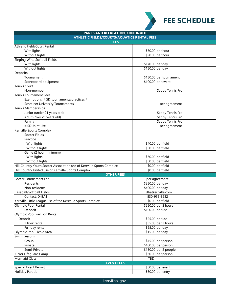

| PARKS AND RECREATION, CONTINUED                                       |                                        |  |  |
|-----------------------------------------------------------------------|----------------------------------------|--|--|
| <b>ATHLETIC FIELDS/COURTS/AQUATICS RENTAL FEES</b>                    |                                        |  |  |
| <b>FEES</b>                                                           |                                        |  |  |
| Athletic Field/Court Rental                                           |                                        |  |  |
| With lights                                                           | \$30.00 per hour                       |  |  |
| Without lights                                                        | \$20.00 per hour                       |  |  |
| <b>Singing Wind Softball Fields</b>                                   |                                        |  |  |
| With lights                                                           | \$170.00 per day                       |  |  |
| Without lights                                                        | \$150.00 per day                       |  |  |
| Deposits                                                              |                                        |  |  |
| Tournament                                                            | \$150.00 per tournament                |  |  |
| Scoreboard equipment                                                  | \$100.00 per event                     |  |  |
| <b>Tennis Court</b>                                                   |                                        |  |  |
| Non-member                                                            | Set by Tennis Pro                      |  |  |
| <b>Tennis Tournament Fees</b>                                         |                                        |  |  |
| Exemptions: KISD tournaments/practices /                              |                                        |  |  |
| <b>Schreiner University Tournaments</b>                               | per agreement                          |  |  |
| Tennis Memberships                                                    |                                        |  |  |
| Junior (under 21 years old)                                           | Set by Tennis Pro                      |  |  |
| Adult (over 21 years old)                                             | Set by Tennis Pro                      |  |  |
| Family                                                                | Set by Tennis Pro                      |  |  |
| KISD Joint Use                                                        | per agreement                          |  |  |
| Kerrville Sports Complex                                              |                                        |  |  |
| Soccer Fields                                                         |                                        |  |  |
| Practice                                                              |                                        |  |  |
| With lights                                                           | \$40.00 per field                      |  |  |
| <b>Without lights</b>                                                 | \$30.00 per field                      |  |  |
| Game (2 hour minimum)                                                 |                                        |  |  |
| With lights                                                           | \$60.00 per field                      |  |  |
| Without lights                                                        | \$50.00 per field                      |  |  |
| Hill Country Youth Soccer Association use of Kerrville Sports Complex | \$0.00 per field                       |  |  |
| Hill Country United use of Kerrville Sports Complex                   | \$0.00 per field                       |  |  |
| <b>OTHER FEES</b>                                                     |                                        |  |  |
| Soccer Tournament Fee                                                 | per agreement                          |  |  |
| Residents                                                             | \$250.00 per day                       |  |  |
| Non-residents                                                         | \$400.00 per day                       |  |  |
| <b>Baseball/Softball Fields</b>                                       | dbatkerrville.com                      |  |  |
| Contact: D-BAT                                                        | 830-955-8232                           |  |  |
| Kerrville Little League use of the Kerrville Sports Complex           | \$0.00 per field                       |  |  |
| Olympic Pool Rental                                                   | \$250.00 per 2 hours                   |  |  |
| Deposit                                                               | \$100.00 per use                       |  |  |
| <b>Olympic Pool Pavilion Rental</b>                                   |                                        |  |  |
| Deposit                                                               | \$25.00 per use                        |  |  |
| 2 hour rental                                                         | \$35.00 per 2 hours                    |  |  |
| Full day rental                                                       | \$95.00 per day                        |  |  |
| Olympic Pool Picnic Area                                              | \$15.00 per day                        |  |  |
| Swim Lessons                                                          |                                        |  |  |
| Group                                                                 | \$45.00 per person                     |  |  |
| Private                                                               | \$100.00 per person                    |  |  |
| Semi-Private                                                          | \$150.00 per 2 people                  |  |  |
| Junior Lifeguard Camp                                                 | \$60.00 per person                     |  |  |
| <b>Mermaid Class</b>                                                  | TBD                                    |  |  |
| <b>EVENT FEES</b>                                                     |                                        |  |  |
|                                                                       |                                        |  |  |
| Special Event Permit<br><b>Holiday Parade</b>                         | \$50.00 per event<br>\$30.00 per entry |  |  |
|                                                                       |                                        |  |  |

kerrvilletx.gov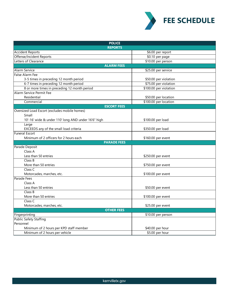

| <b>POLICE</b>                                       |                        |  |
|-----------------------------------------------------|------------------------|--|
| <b>REPORTS</b>                                      |                        |  |
| <b>Accident Reports</b>                             | \$6.00 per report      |  |
| Offense/Incident Reports                            | \$0.10 per page        |  |
| Letters of Clearance                                | \$10.00 per person     |  |
| <b>ALARM FEES</b>                                   |                        |  |
| <b>Alarm Service</b>                                | \$25.00 per service    |  |
| <b>False Alarm Fee</b>                              |                        |  |
| 3-5 times in preceding 12 month period              | \$50.00 per violation  |  |
| 6-7 times in preceding 12 month period              | \$75.00 per violation  |  |
| 8 or more times in preceding 12 month period        | \$100.00 per violation |  |
| Alarm Service Permit Fee                            |                        |  |
| Residential                                         | \$50.00 per location   |  |
| Commercial                                          | \$100.00 per location  |  |
| <b>ESCORT FEES</b>                                  |                        |  |
| Oversized Load Escort (excludes mobile homes)       |                        |  |
| Small                                               |                        |  |
| 10'-16' wide & under 110' long AND under 16'6" high | \$100.00 per load      |  |
| Large                                               |                        |  |
| EXCEEDS any of the small load criteria              | \$350.00 per load      |  |
| Funeral Escort                                      |                        |  |
| Minimum of 2 officers for 2 hours each              | \$160.00 per event     |  |
| <b>PARADE FEES</b>                                  |                        |  |
| Parade Deposit                                      |                        |  |
| Class A                                             |                        |  |
| Less than 50 entries                                | \$250.00 per event     |  |
| Class B                                             |                        |  |
| More than 50 entries                                | \$750.00 per event     |  |
| Class <sub>C</sub>                                  |                        |  |
| Motorcades, marches, etc.                           | \$100.00 per event     |  |
| Parade Fees                                         |                        |  |
| Class A                                             |                        |  |
| Less than 50 entries                                | \$50.00 per event      |  |
| Class B                                             |                        |  |
| More than 50 entries                                | \$100.00 per event     |  |
| Class C                                             |                        |  |
| Motorcades, marches, etc.                           | \$25.00 per event      |  |
| <b>OTHER FEES</b>                                   |                        |  |
| Fingerprinting                                      | \$10.00 per person     |  |
| <b>Public Safety Staffing</b>                       |                        |  |
| Personnel                                           |                        |  |
| Minimum of 2 hours per KPD staff member             | \$40.00 per hour       |  |
| Minimum of 2 hours per vehicle                      | \$5.00 per hour        |  |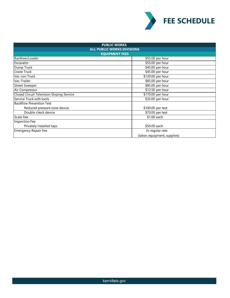

| <b>PUBLIC WORKS</b><br><b>ALL PUBLIC WORKS DIVISIONS</b> |                              |  |
|----------------------------------------------------------|------------------------------|--|
|                                                          |                              |  |
| Backhoe/Loader                                           | \$55.00 per hour             |  |
| Excavator                                                | \$55.00 per hour             |  |
| Dump Truck                                               | \$45.00 per hour             |  |
| <b>Crane Truck</b>                                       | \$45.00 per hour             |  |
| Vac-con Truck                                            | \$120.00 per hour            |  |
| Vac-Trailer                                              | \$85.00 per hour             |  |
| <b>Street Sweeper</b>                                    | \$85.00 per hour             |  |
| Air Compressor                                           | \$12.50 per hour             |  |
| <b>Closed Circuit Television Sloping Service</b>         | \$170.00 per hour            |  |
| Service Truck with tools                                 | \$35.00 per hour             |  |
| <b>Backflow Prevention Test</b>                          |                              |  |
| Reduced pressure zone device                             | \$100.00 per test            |  |
| Double check device                                      | \$70.00 per test             |  |
| <b>Scale Fee</b>                                         | \$1.00 each                  |  |
| Inspection Fee                                           |                              |  |
| Privately installed taps                                 | \$50.00 each                 |  |
| <b>Emergency Repair Fee</b>                              | 2x regular rate              |  |
|                                                          | (labor, equipment, supplies) |  |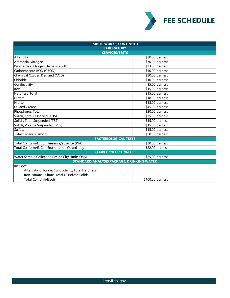

| <b>PUBLIC WORKS, CONTINUED</b>                     |                   |  |
|----------------------------------------------------|-------------------|--|
| <b>LABORATORY</b>                                  |                   |  |
| <b>SERVICES/TESTS</b>                              |                   |  |
| Alkalinity                                         | \$20.00 per test  |  |
| Ammonia Nitrogen                                   | \$30.00 per test  |  |
| Biochemical Oxygen Demand (BOD)                    | \$33.00 per test  |  |
| Carbonaceous BOD (CBOD)                            | \$40.00 per test  |  |
| Chemical Oxygen Demand (COD)                       | \$20.00 per test  |  |
| Chloride                                           | \$10.00 per test  |  |
| Conductivity                                       | \$5.00 per test   |  |
| Iron                                               | \$15.00 per test  |  |
| Hardness, Total                                    | \$15.00 per test  |  |
| Nitrate                                            | \$18.00 per test  |  |
| Nitrite                                            | \$18.00 per test  |  |
| Oil and Grease                                     | \$45.00 per test  |  |
| Phosphorus, Total                                  | \$20.00 per test  |  |
| Solids, Total Dissolved (TDS)                      | \$35.00 per test  |  |
| Solids, Total Suspended (TSS)                      | \$15.00 per test  |  |
| Solids, Volatile Suspended (VSS)                   | \$15.00 per test  |  |
| Sulfate                                            | \$15.00 per test  |  |
| <b>Total Organic Carbon</b>                        | \$50.00 per test  |  |
| <b>BACTERIOLOGICAL TESTS</b>                       |                   |  |
| Total Coliform/E. Coli Presence/absence (P/A)      | \$20.00 per test  |  |
| Total Coliform/E. Coli Enumeration Quanti-tray     | \$22.00 per test  |  |
| <b>SAMPLE COLLECTION FEE</b>                       |                   |  |
| Water Sample Collection (Inside City Limits Only)  | \$25.00 per test  |  |
| <b>STANDARD ANALYSIS PACKAGE: DRINKING WATER</b>   |                   |  |
| Includes:                                          |                   |  |
| Alkalinity, Chloride, Conductivity, Total Hardness |                   |  |
| Iron, Nitrate, Sulfate, Total Dissolved Solids     |                   |  |
| Total Coliform/E.coli                              | \$100.00 per test |  |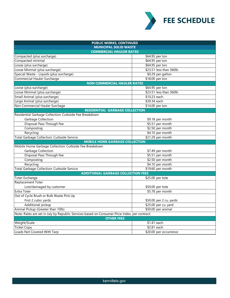

| <b>PUBLIC WORKS, CONTINUED</b>                                                                |                         |  |  |
|-----------------------------------------------------------------------------------------------|-------------------------|--|--|
| <b>MUNICIPAL SOLID WASTE</b>                                                                  |                         |  |  |
| <b>COMMERCIAL HAULER RATES</b>                                                                |                         |  |  |
| Compacted (plus surcharge)                                                                    | \$64.95 per ton         |  |  |
| Compacted minimal                                                                             | \$64.95 per ton         |  |  |
| Loose (plus surcharge)                                                                        | \$64.95 per ton         |  |  |
| Loose Minimal (plus surcharge)                                                                | \$23.51 less than 360lb |  |  |
| Special Waste - Liquids (plus surcharge)                                                      | \$0.29 per gallon       |  |  |
| Commercial Hauler Surcharge                                                                   | \$18.00 per ton         |  |  |
| <b>NON COMMERCIAL HAULER RATES</b>                                                            |                         |  |  |
| Loose (plus surcharge)                                                                        | \$64.95 per ton         |  |  |
| Loose Minimal (plus surcharge)                                                                | \$23.51 less than 360lb |  |  |
| Small Animal (plus surcharge)                                                                 | \$10.23 each            |  |  |
| Large Animal (plus surcharge)                                                                 | \$39.34 each            |  |  |
| Non Commercial Hauler Surchage                                                                | \$14.00 per ton         |  |  |
| <b>RESIDENTIAL GARBAGE COLLECTION</b>                                                         |                         |  |  |
| Residential Garbage Collection: Curbside Fee Breakdown                                        |                         |  |  |
| Garbage Collection                                                                            | \$9.18 per month        |  |  |
| Disposal Pass Through Fee                                                                     | \$5.51 per month        |  |  |
| Composting                                                                                    | \$2.50 per month        |  |  |
| Recycling                                                                                     | \$4.10 per month        |  |  |
| Total Garbage Collection: Curbside Service                                                    | \$21.29 per month       |  |  |
| <b>MOBILE HOME GARBAGE COLLECTION</b>                                                         |                         |  |  |
| Mobile Home Garbage Collection: Curbside Fee Breakdown                                        |                         |  |  |
| Garbage Collection                                                                            | \$7.49 per month        |  |  |
| Disposal Pass Through Fee                                                                     | \$5.51 per month        |  |  |
| Composting                                                                                    | \$2.50 per month        |  |  |
| Recycling                                                                                     | \$4.10 per month        |  |  |
| Total Garbage Collection: Curbside Service                                                    | \$19.60 per month       |  |  |
| <b>ADDITIONAL GARBAGE COLLECTION FEES</b>                                                     |                         |  |  |
| <b>Toter Exchange</b>                                                                         | \$25.00 per tote        |  |  |
| <b>Replacement Toter</b>                                                                      |                         |  |  |
| Lost/damaged by customer                                                                      | \$50.00 per tote        |  |  |
| <b>Extra Toter</b>                                                                            | \$5.78 per month        |  |  |
| Out of Cycle Brush or Bulk Waste Pick Up                                                      |                         |  |  |
| First 2 cubic yards                                                                           | \$50.00 per 2 cu. yards |  |  |
| Additional pickup                                                                             | \$25.00 per cu. yard    |  |  |
| Animal Pickup (Greater than 10lb)                                                             | \$50.00 per animal      |  |  |
| Note: Rates are set in July by Republic Services based on Consumer Price Index, per contract. |                         |  |  |
| <b>OTHER FEES</b>                                                                             |                         |  |  |
| Weight/Scale                                                                                  | \$1.41 each             |  |  |
| <b>Ticket Copy</b>                                                                            | \$2.81 each             |  |  |
| Loads Not Covered With Tarp                                                                   | \$20.00 per occurrence  |  |  |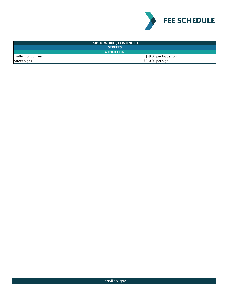

| <b>PUBLIC WORKS, CONTINUED</b> |                       |  |
|--------------------------------|-----------------------|--|
| <b>STREETS</b>                 |                       |  |
| <b>OTHER FEES</b>              |                       |  |
| Traffic Control Fee            | \$29.00 per hr/person |  |
| <b>Street Signs</b>            | \$250.00 per sign     |  |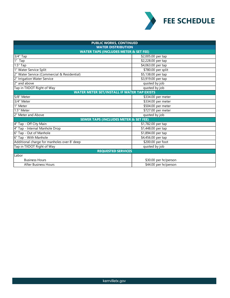

| <b>PUBLIC WORKS, CONTINUED</b>                     |                       |  |
|----------------------------------------------------|-----------------------|--|
| <b>WATER DISTRIBUTION</b>                          |                       |  |
| <b>WATER TAPS (INCLUDES METER &amp; SET FEE)</b>   |                       |  |
| 3/4" Tap                                           | \$2,005.00 per tap    |  |
| 1" Tap                                             | \$2,228.00 per tap    |  |
| 1.5" Tap                                           | \$4,063.00 per tap    |  |
| 1" Water Service Split                             | \$780.00 per split    |  |
| 2" Water Service (Commercial & Residential)        | \$5,138.00 per tap    |  |
| 2" Irrigation Water Service                        | \$3,919.00 per tap    |  |
| 2" and above                                       | quoted by job         |  |
| Tap in TXDOT Right of Way                          | quoted by job         |  |
| <b>WATER METER SET/INSTALL IF WATER TAP EXISTS</b> |                       |  |
| 5/8" Meter                                         | \$334.00 per meter    |  |
| 3/4" Meter                                         | \$334.00 per meter    |  |
| 1" Meter                                           | \$504.00 per meter    |  |
| 1.5" Meter                                         | \$727.00 per meter    |  |
| 2" Meter and Above                                 | quoted by job         |  |
| <b>SEWER TAPS (INCLUDES METER &amp; SET FEE)</b>   |                       |  |
| 4" Tap - Off City Main                             | \$1,782.00 per tap    |  |
| 4" Tap - Internal Manhole Drop                     | \$1,448.00 per tap    |  |
| 6" Tap - Out of Manhole                            | \$1,894.00 per tap    |  |
| 6" Tap - With Manhole                              | \$4,456.00 per tap    |  |
| Additional charge for manholes over 8' deep        | \$200.00 per foot     |  |
| Tap in TXDOT Right of Way                          | quoted by job         |  |
| <b>REQUESTED SERVICES</b>                          |                       |  |
| Labor                                              |                       |  |
| <b>Business Hours</b>                              | \$30.00 per hr/person |  |
| <b>After Business Hours</b>                        | \$44.00 per hr/person |  |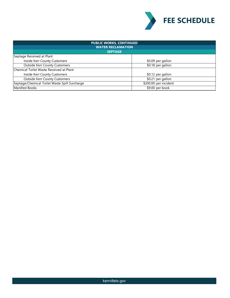

| <b>PUBLIC WORKS, CONTINUED</b><br><b>WATER RECLAMATION</b> |                       |  |
|------------------------------------------------------------|-----------------------|--|
| <b>SEPTAGE</b>                                             |                       |  |
| Septage Received at Plant                                  |                       |  |
| Inside Kerr County Customers                               | \$0.09 per gallon     |  |
| <b>Outside Kerr County Customers</b>                       | \$0.18 per gallon     |  |
| Chemical Toilet Waste Received at Plant                    |                       |  |
| Inside Kerr County Customers                               | \$0.12 per gallon     |  |
| <b>Outside Kerr County Customers</b>                       | \$0.21 per gallon     |  |
| Septage/Chemical Toilet Waste Spill Surcharge              | \$200.00 per incident |  |
| Manifest Books                                             | \$9.00 per book       |  |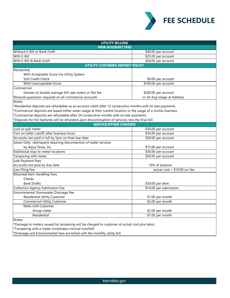

| <b>UTILITY BILLING</b><br><b>NEW ACCOUNT FEES</b>                                                               |                                 |  |
|-----------------------------------------------------------------------------------------------------------------|---------------------------------|--|
| Without E-Bill or Bank Draft                                                                                    | \$40.00 per account             |  |
| With E-Bill                                                                                                     | \$25.00 per account             |  |
| With E-Bill & Bank Draft                                                                                        | \$20.00 per account             |  |
| <b>UTILITY CUSTOMER DEPOSIT POLICY</b>                                                                          |                                 |  |
| Residential                                                                                                     |                                 |  |
| With Acceptable Score Via Utility System                                                                        |                                 |  |
| Soft Credit Check                                                                                               | \$0.00 per account              |  |
| With Unacceptable Score                                                                                         | \$100.00 per account            |  |
| Commercial                                                                                                      |                                 |  |
| Greater of double average bill (see notes) or flat fee                                                          | \$200.00 per account            |  |
| Personal guarantor required on all commercial accounts                                                          | or 2X Avg Usage at Address      |  |
| Notes:                                                                                                          |                                 |  |
| *Residential deposits are refundable as an account credit after 12 consecutive months with no late payments.    |                                 |  |
| *Commercial deposits are based either water usage at their current location or the usage of a similar business. |                                 |  |
| *Commercial deposits are refundable after 24 consecutive months with no late payments.                          |                                 |  |
| *Deposits for fire hydrants will be refunded upon discontinuation of services, less the final bill.             |                                 |  |
| <b>SERVICE/OTHER CHARGES</b>                                                                                    |                                 |  |
| Lock or pull meter                                                                                              | \$30.00 per account             |  |
| Turn on (after cutoff) after business hours                                                                     | \$50.00 per account             |  |
| Accounts not paid in full by 5pm on final due date                                                              | \$30.00 per account             |  |
| Sewer Only--delinquent requiring disconnection of water services                                                |                                 |  |
| by Aqua Texas, Inc.                                                                                             | \$75.00 per account             |  |
| Additional trips to meter locations                                                                             | \$30.00 per account             |  |
| Tampering with meter                                                                                            | \$50.00 per account             |  |
| Late Payment Fees                                                                                               |                                 |  |
| Accounts not paid by due date                                                                                   | 10% of balance                  |  |
| Lien Filing Fee                                                                                                 | actual cost $+$ \$10.00 svc fee |  |
| Returned Item Handling Fees                                                                                     |                                 |  |
| Checks                                                                                                          |                                 |  |
| <b>Bank Drafts</b>                                                                                              | \$30.00 per item                |  |
| <b>Collection Agency Submission Fee</b>                                                                         | \$10.00 per submission          |  |
| Environmental Stormwater Drainage Fee                                                                           |                                 |  |
| <b>Residential Utility Customer</b>                                                                             | \$1.00 per month                |  |
| <b>Commercial Utility Customer</b>                                                                              | \$2.00 per month                |  |
| Multi-Unit Customer                                                                                             |                                 |  |
| Group meter                                                                                                     | \$2.00 per month                |  |
| Residential                                                                                                     | \$1.00 per month                |  |
| Notes:                                                                                                          |                                 |  |
| *Damage to meters caused by tampering will be charged to customer at actual cost plus labor.                    |                                 |  |
| *Tampering with a meter constitutes criminal mischief.                                                          |                                 |  |
| *Drainage and Environmental fees are billed with the monthly utility bill.                                      |                                 |  |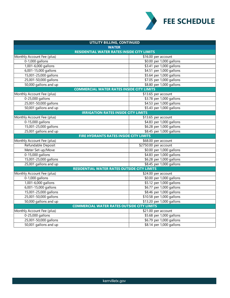

| UTILITY BILLING, CONTINUED                         |                           |  |
|----------------------------------------------------|---------------------------|--|
| <b>WATER</b>                                       |                           |  |
| <b>RESIDENTIAL WATER RATES INSIDE CITY LIMITS</b>  |                           |  |
| Monthly Account Fee (plus)                         | \$16.00 per account       |  |
| $0-1,000$ gallons                                  | \$0.00 per 1,000 gallons  |  |
| 1,001-6,000 gallons                                | \$3.41 per 1,000 gallons  |  |
| 6,001-15,000 gallons                               | \$4.51 per 1,000 gallons  |  |
| 15,001-25,000 gallons                              | \$5.64 per 1,000 gallons  |  |
| 25,001-50,000 gallons                              | \$7.05 per 1,000 gallons  |  |
| 50,000 gallons and up                              | \$8.80 per 1,000 gallons  |  |
| <b>COMMERCIAL WATER RATES INSIDE CITY LIMITS</b>   |                           |  |
| Monthly Account Fee (plus)                         | $$13.65$ per account      |  |
| 0-25,000 gallons                                   | \$3.78 per 1,000 gallons  |  |
| 25,001-50,000 gallons                              | \$4.53 per 1,000 gallons  |  |
| 50,001 gallons and up                              | \$5.43 per 1,000 gallons  |  |
| <b>IRRIGATION RATES INSIDE CITY LIMITS</b>         |                           |  |
| Monthly Account Fee (plus)                         | \$13.65 per account       |  |
| 0-15,000 gallons                                   | \$4.83 per 1,000 gallons  |  |
| 15,001-25,000 gallons                              | \$6.28 per 1,000 gallons  |  |
| 25,001 gallons and up                              | \$8.45 per 1,000 gallons  |  |
| FIRE HYDRANTS RATES INSIDE CITY LIMITS             |                           |  |
| Monthly Account Fee (plus)                         | \$68.00 per account       |  |
| Refundable Deposit                                 | \$2750.00 per account     |  |
| Meter Set-up/Move                                  | \$0.00 per 1,000 gallons  |  |
| 0-15,000 gallons                                   | \$4.83 per 1,000 gallons  |  |
| 15,001-25,000 gallons                              | \$6.28 per 1,000 gallons  |  |
| 25,001 gallons and up                              | \$8.45 per 1,000 gallons  |  |
| <b>RESIDENTIAL WATER RATES OUTSIDE CITY LIMITS</b> |                           |  |
| Monthly Account Fee (plus)                         | \$24.00 per account       |  |
| $0-1,000$ gallons                                  | \$0.00 per 1,000 gallons  |  |
| 1,001-6,000 gallons                                | \$5.12 per 1,000 gallons  |  |
| 6,001-15,000 gallons                               | \$6.77 per 1,000 gallons  |  |
| 15,001-25,000 gallons                              | \$8.46 per 1,000 gallons  |  |
| 25,001-50,000 gallons                              | \$10.58 per 1,000 gallons |  |
| 50,000 gallons and up                              | \$13.20 per 1,000 gallons |  |
| <b>COMMERCIAL WATER RATES OUTSIDE CITY LIMITS</b>  |                           |  |
| Monthly Account Fee (plus)                         | \$21.00 per account       |  |
| 0-25,000 gallons                                   | \$5.68 per 1,000 gallons  |  |
| 25,001-50,000 gallons                              | \$6.79 per 1,000 gallons  |  |
| 50,001 gallons and up                              | \$8.14 per 1,000 gallons  |  |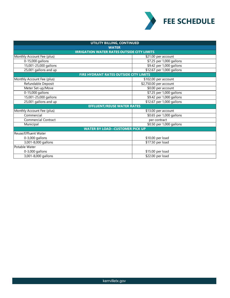

| UTILITY BILLING, CONTINUED                        |                                |  |
|---------------------------------------------------|--------------------------------|--|
| <b>WATER</b>                                      |                                |  |
| <b>IRRIGATION WATER RATES OUTSIDE CITY LIMITS</b> |                                |  |
| Monthly Account Fee (plus)                        | \$21.00 per account            |  |
| 0-15,000 gallons                                  | \$7.25 per 1,000 gallons       |  |
| 15,001-25,000 gallons                             | \$9.42 per 1,000 gallons       |  |
| 25,001 gallons and up                             | \$12.67 per 1,000 gallons      |  |
| <b>FIRE HYDRANT RATES OUTSIDE CITY LIMITS</b>     |                                |  |
| Monthly Account Fee (plus)                        | \$102.00 per account           |  |
| Refundable Deposit                                | \$2,750.00 per account         |  |
| Meter Set-up/Move                                 | $\overline{60.00}$ per account |  |
| 0-15,000 gallons                                  | \$7.25 per 1,000 gallons       |  |
| 15,001-25,000 gallons                             | \$9.42 per 1,000 gallons       |  |
| 25,001 gallons and up                             | \$12.67 per 1,000 gallons      |  |
| <b>EFFLUENT/REUSE WATER RATES</b>                 |                                |  |
| Monthly Account Fee (plus)                        | \$13.00 per account            |  |
| Commercial                                        | \$0.65 per 1,000 gallons       |  |
| <b>Commercial Contract</b>                        | per contract                   |  |
| Municipal                                         | \$0.50 per 1,000 gallons       |  |
| <b>WATER BY LOAD--CUSTOMER PICK UP</b>            |                                |  |
| Reuse/Effluent Water                              |                                |  |
| 0-3,000 gallons                                   | \$10.00 per load               |  |
| 3,001-8,000 gallons                               | \$17.50 per load               |  |
| Potable Water                                     |                                |  |
| 0-3,000 gallons                                   | \$15.00 per load               |  |
| 3,001-8,000 gallons                               | \$22.00 per load               |  |